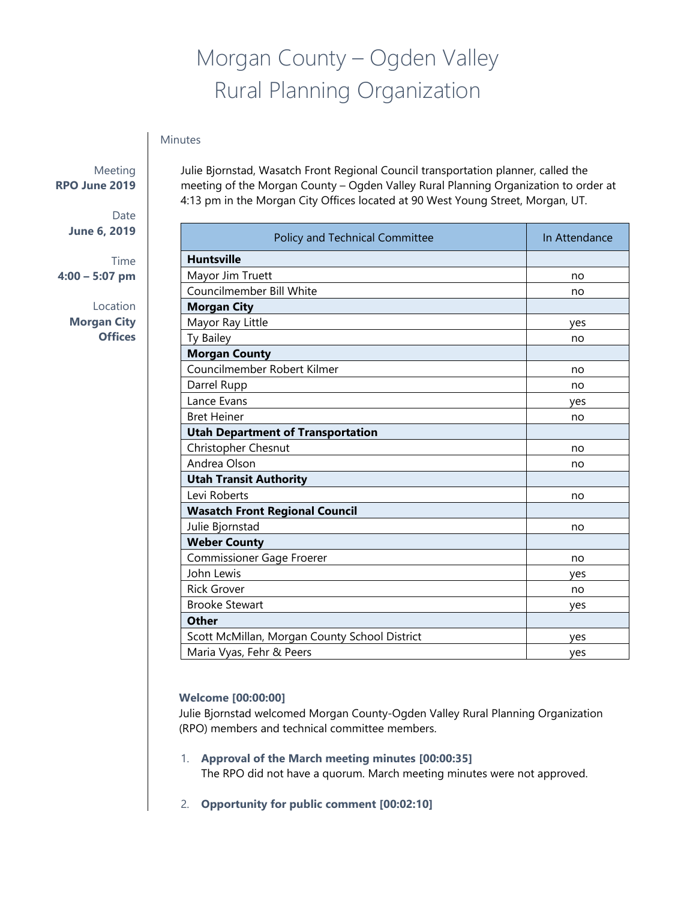# Morgan County – Ogden Valley Rural Planning Organization

## Minutes

Meeting **RPO June 2019**

> Date **June 6, 2019**

Time **4:00 – 5:07 pm**

> Location **Morgan City Offices**

Julie Bjornstad, Wasatch Front Regional Council transportation planner, called the meeting of the Morgan County – Ogden Valley Rural Planning Organization to order at 4:13 pm in the Morgan City Offices located at 90 West Young Street, Morgan, UT.

| Policy and Technical Committee                | In Attendance |
|-----------------------------------------------|---------------|
| <b>Huntsville</b>                             |               |
| Mayor Jim Truett                              | no            |
| Councilmember Bill White                      | no            |
| <b>Morgan City</b>                            |               |
| Mayor Ray Little                              | yes           |
| Ty Bailey                                     | no            |
| <b>Morgan County</b>                          |               |
| Councilmember Robert Kilmer                   | no            |
| Darrel Rupp                                   | no            |
| Lance Evans                                   | yes           |
| <b>Bret Heiner</b>                            | no            |
| <b>Utah Department of Transportation</b>      |               |
| Christopher Chesnut                           | no            |
| Andrea Olson                                  | no            |
| <b>Utah Transit Authority</b>                 |               |
| Levi Roberts                                  | no            |
| <b>Wasatch Front Regional Council</b>         |               |
| Julie Bjornstad                               | no            |
| <b>Weber County</b>                           |               |
| <b>Commissioner Gage Froerer</b>              | no            |
| John Lewis                                    | yes           |
| <b>Rick Grover</b>                            | no            |
| <b>Brooke Stewart</b>                         | yes           |
| <b>Other</b>                                  |               |
| Scott McMillan, Morgan County School District | yes           |
| Maria Vyas, Fehr & Peers                      | yes           |

# **Welcome [00:00:00]**

Julie Bjornstad welcomed Morgan County-Ogden Valley Rural Planning Organization (RPO) members and technical committee members.

- 1. **Approval of the March meeting minutes [00:00:35]**  The RPO did not have a quorum. March meeting minutes were not approved.
- 2. **Opportunity for public comment [00:02:10]**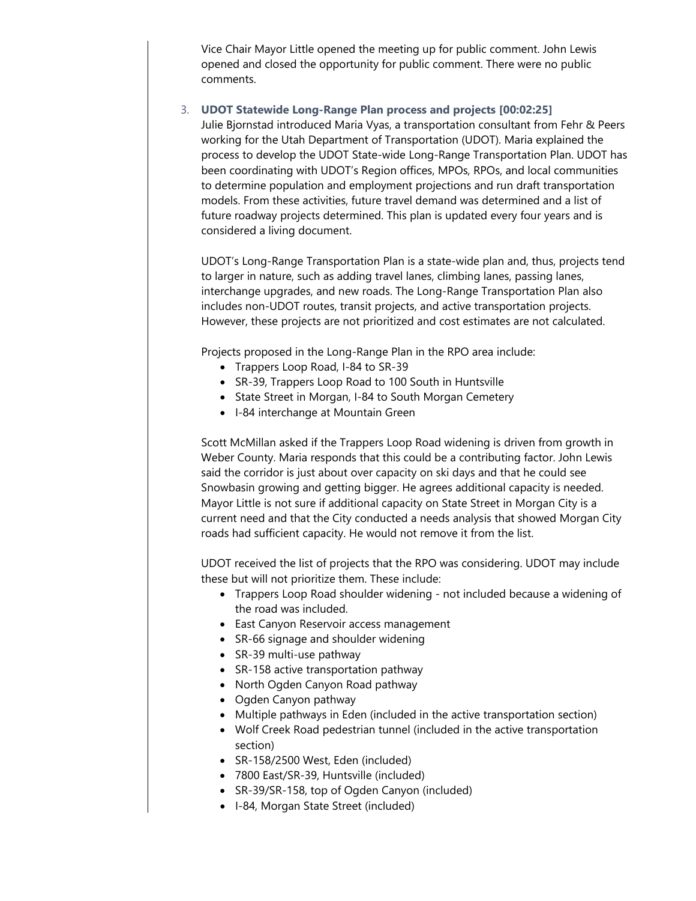Vice Chair Mayor Little opened the meeting up for public comment. John Lewis opened and closed the opportunity for public comment. There were no public comments.

#### 3. **UDOT Statewide Long-Range Plan process and projects [00:02:25]**

Julie Bjornstad introduced Maria Vyas, a transportation consultant from Fehr & Peers working for the Utah Department of Transportation (UDOT). Maria explained the process to develop the UDOT State-wide Long-Range Transportation Plan. UDOT has been coordinating with UDOT's Region offices, MPOs, RPOs, and local communities to determine population and employment projections and run draft transportation models. From these activities, future travel demand was determined and a list of future roadway projects determined. This plan is updated every four years and is considered a living document.

UDOT's Long-Range Transportation Plan is a state-wide plan and, thus, projects tend to larger in nature, such as adding travel lanes, climbing lanes, passing lanes, interchange upgrades, and new roads. The Long-Range Transportation Plan also includes non-UDOT routes, transit projects, and active transportation projects. However, these projects are not prioritized and cost estimates are not calculated.

Projects proposed in the Long-Range Plan in the RPO area include:

- Trappers Loop Road, I-84 to SR-39
- SR-39, Trappers Loop Road to 100 South in Huntsville
- State Street in Morgan, I-84 to South Morgan Cemetery
- I-84 interchange at Mountain Green

Scott McMillan asked if the Trappers Loop Road widening is driven from growth in Weber County. Maria responds that this could be a contributing factor. John Lewis said the corridor is just about over capacity on ski days and that he could see Snowbasin growing and getting bigger. He agrees additional capacity is needed. Mayor Little is not sure if additional capacity on State Street in Morgan City is a current need and that the City conducted a needs analysis that showed Morgan City roads had sufficient capacity. He would not remove it from the list.

UDOT received the list of projects that the RPO was considering. UDOT may include these but will not prioritize them. These include:

- Trappers Loop Road shoulder widening not included because a widening of the road was included.
- East Canyon Reservoir access management
- SR-66 signage and shoulder widening
- SR-39 multi-use pathway
- SR-158 active transportation pathway
- North Ogden Canyon Road pathway
- Ogden Canyon pathway
- Multiple pathways in Eden (included in the active transportation section)
- Wolf Creek Road pedestrian tunnel (included in the active transportation section)
- SR-158/2500 West, Eden (included)
- 7800 East/SR-39, Huntsville (included)
- SR-39/SR-158, top of Ogden Canyon (included)
- I-84, Morgan State Street (included)